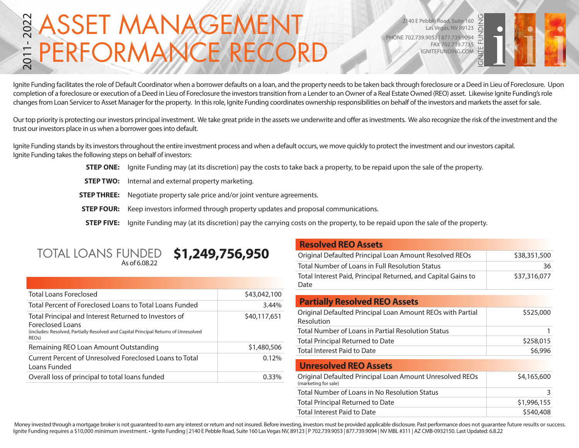### ASSET MANAGEMENT PERFORMANCE RECO 2011- 2022

2140 E Pebble Road, Suite 160 Las Vegas, NV 89123 PHONE 702.739.9053 | 877.739.9094 FAX 702.739.7735 IGNITEFUNDING.COM



Ignite Funding facilitates the role of Default Coordinator when a borrower defaults on a loan, and the property needs to be taken back through foreclosure or a Deed in Lieu of Foreclosure. Upon completion of a foreclosure or execution of a Deed in Lieu of Foreclosure the investors transition from a Lender to an Owner of a Real Estate Owned (REO) asset. Likewise Ignite Funding's role changes from Loan Servicer to Asset Manager for the property. In this role, Ignite Funding coordinates ownership responsibilities on behalf of the investors and markets the asset for sale.

Our top priority is protecting our investors principal investment. We take great pride in the assets we underwrite and offer as investments. We also recognize the risk of the investment and the trust our investors place in us when a borrower goes into default.

Ignite Funding stands by its investors throughout the entire investment process and when a default occurs, we move quickly to protect the investment and our investors capital. Ignite Funding takes the following steps on behalf of investors:

- **STEP ONE:** Ignite Funding may (at its discretion) pay the costs to take back a property, to be repaid upon the sale of the property.
- **STEP TWO:** Internal and external property marketing.
- **STEP THREE:** Negotiate property sale price and/or joint venture agreements.
- **STEP FOUR:** Keep investors informed through property updates and proposal communications.
- **STEP FIVE:** Ignite Funding may (at its discretion) pay the carrying costs on the property, to be repaid upon the sale of the property.

## TOTAL LOANS FUNDED **\$1,249,756,950**

| <b>Total Loans Foreclosed</b>                                                                                                                                                                 | \$43,042,100 |
|-----------------------------------------------------------------------------------------------------------------------------------------------------------------------------------------------|--------------|
| Total Percent of Foreclosed Loans to Total Loans Funded                                                                                                                                       | 3.44%        |
| Total Principal and Interest Returned to Investors of<br><b>Foreclosed Loans</b><br>(includes: Resolved, Partially Resolved and Capital Principal Returns of Unresolved<br>REO <sub>s</sub> ) | \$40,117,651 |
| Remaining REO Loan Amount Outstanding                                                                                                                                                         | \$1,480,506  |
| Current Percent of Unresolved Foreclosed Loans to Total<br>Loans Funded                                                                                                                       | 0.12%        |
| Overall loss of principal to total loans funded                                                                                                                                               | በ 33%        |

### **Resolved REO Assets**

| Original Defaulted Principal Loan Amount Resolved REOs                           | \$38,351,500 |
|----------------------------------------------------------------------------------|--------------|
| Total Number of Loans in Full Resolution Status                                  | 36           |
| Total Interest Paid, Principal Returned, and Capital Gains to<br>Date            | \$37,316,077 |
|                                                                                  |              |
| <b>Partially Resolved REO Assets</b>                                             |              |
| Original Defaulted Principal Loan Amount REOs with Partial<br>Resolution         | \$525,000    |
| Total Number of Loans in Partial Resolution Status                               | 1            |
| Total Principal Returned to Date                                                 | \$258,015    |
| Total Interest Paid to Date                                                      | \$6,996      |
| <b>Unresolved REO Assets</b>                                                     |              |
|                                                                                  |              |
| Original Defaulted Principal Loan Amount Unresolved REOs<br>(marketing for sale) | \$4,165,600  |
| Total Number of Loans in No Resolution Status                                    | 3            |
| <b>Total Principal Returned to Date</b>                                          | \$1,996,155  |
| Total Interest Paid to Date                                                      | \$540,408    |
|                                                                                  |              |

Money invested through a mortgage broker is not guaranteed to earn any interest or return and not insured. Before investing, investors must be provided applicable disclosure. Past performance does not guarantee future resu Ignite Funding requires a \$10,000 minimum investment. • Ignite Funding | 2140 E Pebble Road, Suite 160 Las Vegas NV, 89123 | P 702.739.9053 | 877.739.9094 | NV MBL #311 | AZ CMB-0932150. Last Updated: 6.8.22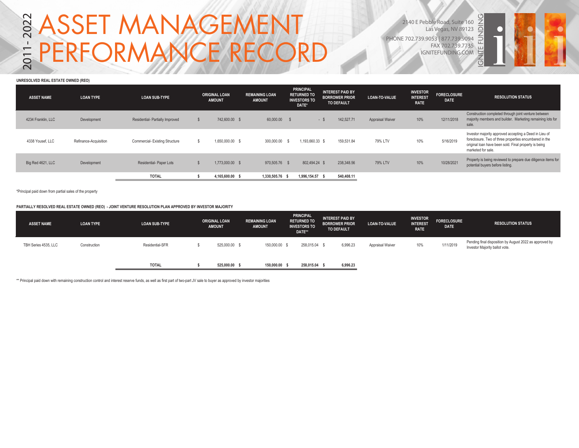# **S ASSET MANAGEMENT<br>= PERFORMANCE RECORD**

2140 E Pebble Road, Suite 160 Las Vegas, NV 89123 PHONE 702.739.9053 | 877.739.9094 FAX 702.739.7735 IGNITEFUNDING.COM



#### **UNRESOLVED REAL ESTATE OWNED (REO)**

| <b>ASSET NAME</b>  | <b>LOAN TYPE</b>      | <b>LOAN SUB-TYPE</b>                 | <b>ORIGINAL LOAN</b><br><b>AMOUNT</b> | <b>REMAINING LOAN</b><br><b>AMOUNT</b> | <b>PRINCIPAL</b><br><b>RETURNED TO</b><br><b>INVESTORS TO</b><br>DATE* |                 | <b>INTEREST PAID BY</b><br><b>BORROWER PRIOR</b><br><b>TO DEFAULT</b> |            |                         |     |            |                                                                                                                                                                                                 | <b>LOAN-TO-VALUE</b> | <b>INVESTOR</b><br><b>INTEREST</b><br><b>RATE</b> | <b>FORECLOSURE</b><br><b>DATE</b> | <b>RESOLUTION STATUS</b> |
|--------------------|-----------------------|--------------------------------------|---------------------------------------|----------------------------------------|------------------------------------------------------------------------|-----------------|-----------------------------------------------------------------------|------------|-------------------------|-----|------------|-------------------------------------------------------------------------------------------------------------------------------------------------------------------------------------------------|----------------------|---------------------------------------------------|-----------------------------------|--------------------------|
| 4234 Franklin, LLC | Development           | Residential- Partially Improved      | 742,600.00 \$                         | 60,000.00                              |                                                                        |                 | $-S$                                                                  | 142,527.71 | <b>Appraisal Waiver</b> | 10% | 12/11/2018 | Construction completed through joint venture between<br>majority members and builder. Marketing remaining lots for<br>sale.                                                                     |                      |                                                   |                                   |                          |
| 4338 Yousef, LLC   | Refinance-Acquisition | <b>Commercial-Existing Structure</b> | 1.650.000.00 \$                       | 300,000,00                             | - 56                                                                   | 1.193.660.33 \$ |                                                                       | 159.531.84 | 79% LTV                 | 10% | 5/16/2019  | Investor majority approved accepting a Deed in Lieu of<br>foreclosure. Two of three properties encumbered in the<br>original loan have been sold. Final property is being<br>marketed for sale. |                      |                                                   |                                   |                          |
| Big Red 4621, LLC  | Development           | Residential- Paper Lots              | 1,773,000.00 \$                       | 970.505.76 \$                          |                                                                        | 802.494.24 \$   |                                                                       | 238,348.56 | 79% LTV                 | 10% | 10/28/2021 | Property is being reviewed to prepare due diligence items for<br>potential buyers before listing.                                                                                               |                      |                                                   |                                   |                          |
|                    |                       | <b>TOTAL</b>                         | 4,165,600.00 \$                       | 1.330.505.76 \$                        |                                                                        | 1,996,154.57 \$ |                                                                       | 540,408.11 |                         |     |            |                                                                                                                                                                                                 |                      |                                                   |                                   |                          |

\*Principal paid down from partial sales of the property

**PARTIALLY RESOLVED REAL ESTATE OWNED (REO) - JOINT VENTURE RESOLUTION PLAN APPROVED BY INVESTOR MAJORITY**

| <b>ASSET NAME</b>    | <b>LOAN TYPE</b> | <b>LOAN SUB-TYPE</b> | <b>ORIGINAL LOAN</b><br><b>AMOUNT</b> | <b>REMAINING LOAN</b><br><b>AMOUNT</b> | <b>PRINCIPAL</b><br><b>INTEREST PAID BY</b><br><b>RETURNED TO</b><br><b>BORROWER PRIOR</b><br><b>INVESTORS TO</b><br>DATE** |          | LOAN-TO-VALUE    | <b>INVESTOR</b><br><b>INTEREST</b><br><b>RATE</b> | <b>FORECLOSURE</b><br><b>DATE</b> | <b>RESOLUTION STATUS</b>                                                                  |
|----------------------|------------------|----------------------|---------------------------------------|----------------------------------------|-----------------------------------------------------------------------------------------------------------------------------|----------|------------------|---------------------------------------------------|-----------------------------------|-------------------------------------------------------------------------------------------|
| TBH Series 4535, LLC | Construction     | Residential-SFR      | 525,000.00 \$                         | 150,000.00                             | 258,015.04 \$                                                                                                               | 6,996.23 | Appraisal Waiver | 10%                                               | 1/11/2019                         | Pending final disposition by August 2022 as approved by<br>Investor Majority ballot vote. |
|                      |                  | <b>TOTAL</b>         | 525,000.00 \$                         | 150,000.00 \$                          | 258,015.04                                                                                                                  | 6,996.23 |                  |                                                   |                                   |                                                                                           |

\*\* Principal paid down with remaining construction control and interest reserve funds, as well as first part of two-part JV sale to buyer as approved by investor majorities